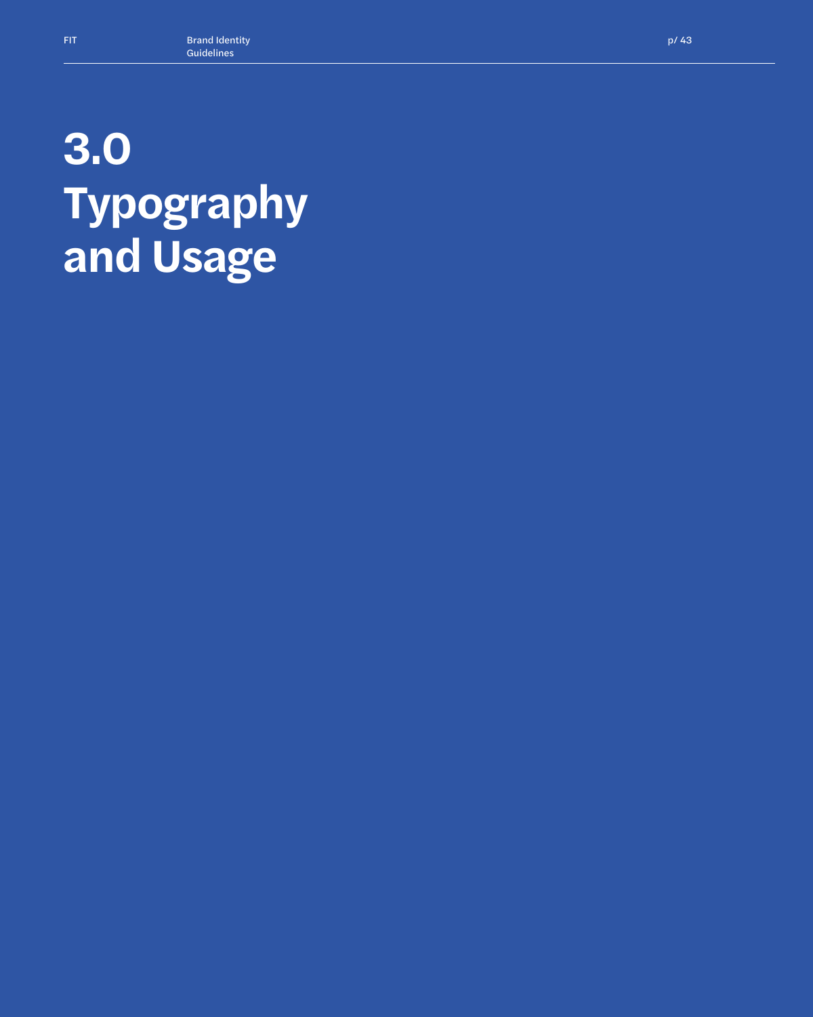## **3.0 Typography and Usage**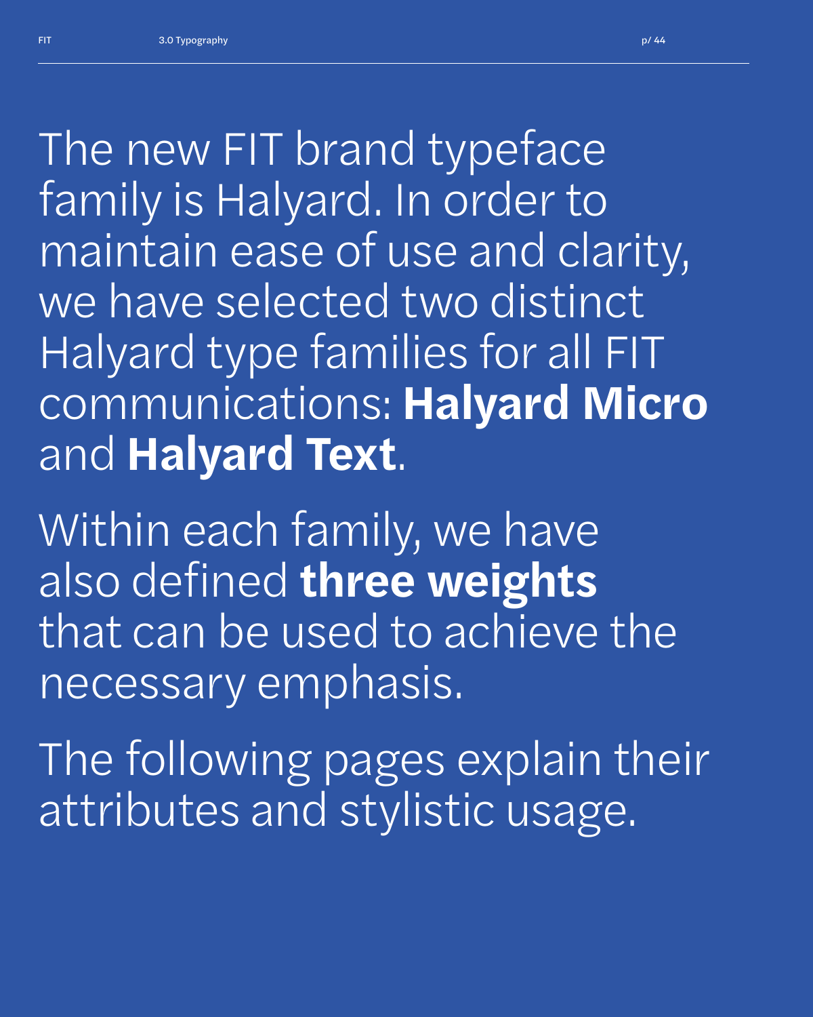*The new FIT brand typeface family is Halyard. In order to maintain ease of use and clarity, we have selected two distinct Halyard type families for all FIT communications:* **Halyard Micro**  and **Halyard Text**.

*Within each family, we have also defined* **three weights** *that can be used to achieve the necessary emphasis.*

*The following pages explain their attributes and stylistic usage.*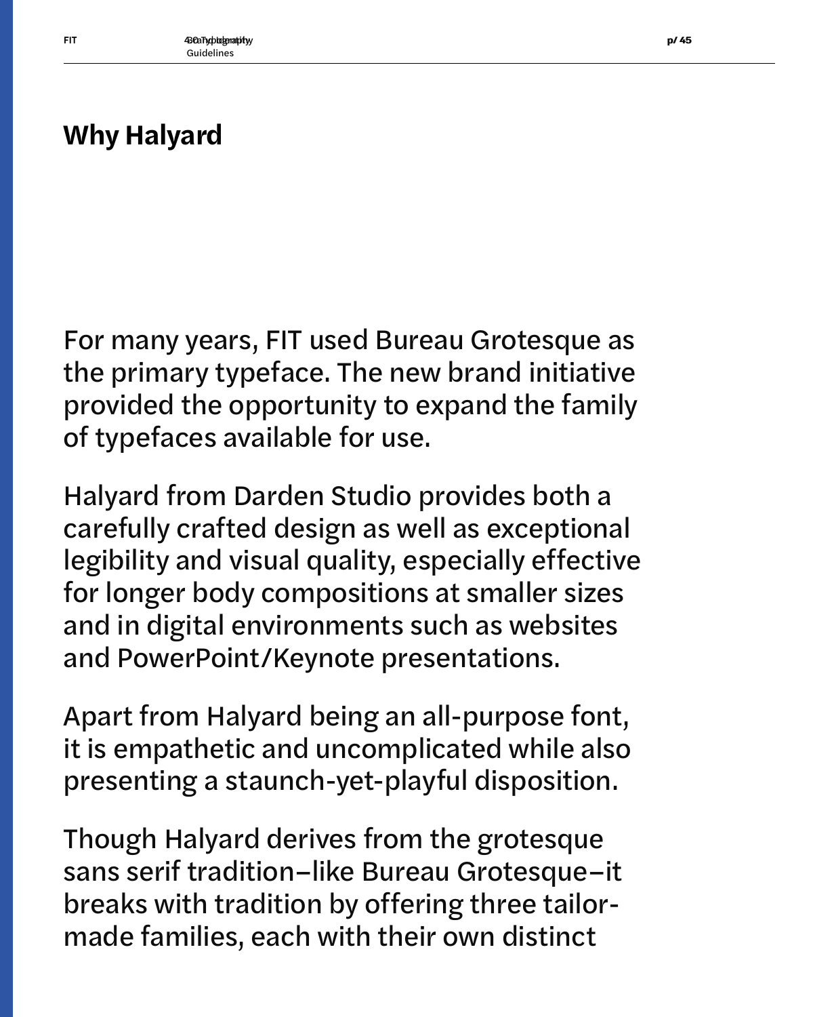### **Why Halyard**

For many years, FIT used Bureau Grotesque as the primary typeface. The new brand initiative provided the opportunity to expand the family of typefaces available for use.

Halyard from Darden Studio provides both a carefully crafted design as well as exceptional legibility and visual quality, especially effective for longer body compositions at smaller sizes and in digital environments such as websites and PowerPoint/Keynote presentations.

Apart from Halyard being an all-purpose font, it is empathetic and uncomplicated while also presenting a staunch-yet-playful disposition.

Though Halyard derives from the grotesque sans serif tradition–like Bureau Grotesque–it breaks with tradition by offering three tailormade families, each with their own distinct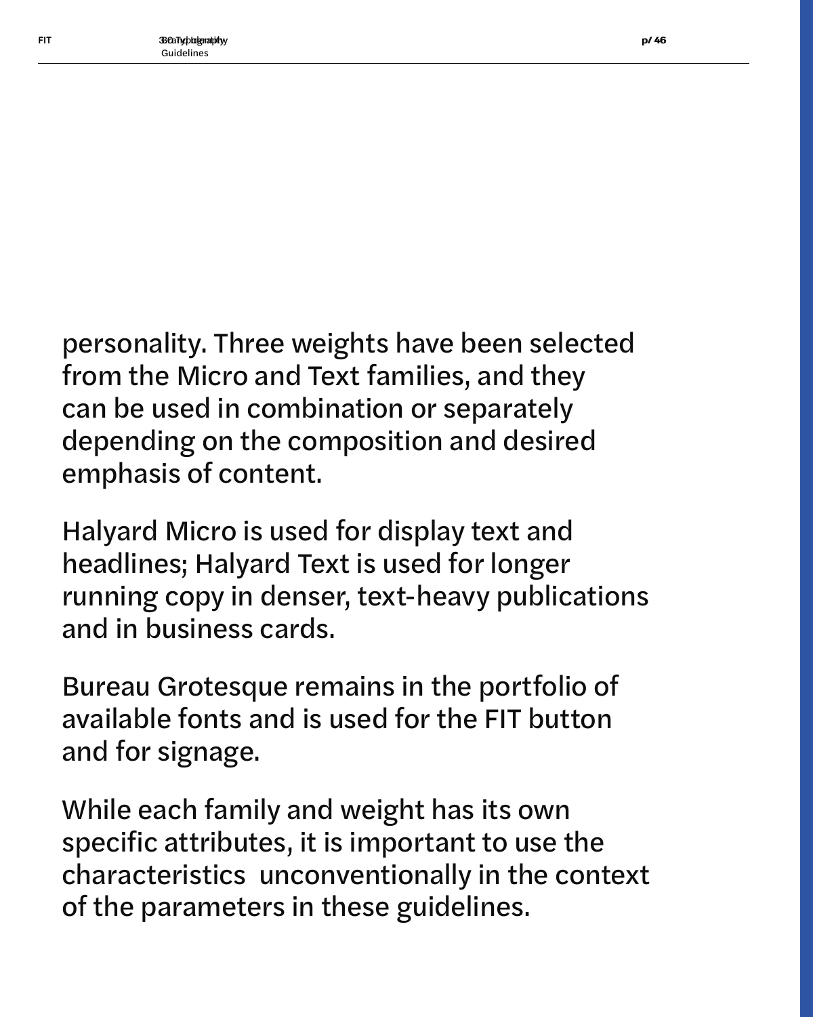personality. Three weights have been selected from the Micro and Text families, and they can be used in combination or separately depending on the composition and desired emphasis of content.

Halyard Micro is used for display text and headlines; Halyard Text is used for longer running copy in denser, text-heavy publications and in business cards.

Bureau Grotesque remains in the portfolio of available fonts and is used for the FIT button and for signage.

While each family and weight has its own specific attributes, it is important to use the characteristics unconventionally in the context of the parameters in these guidelines.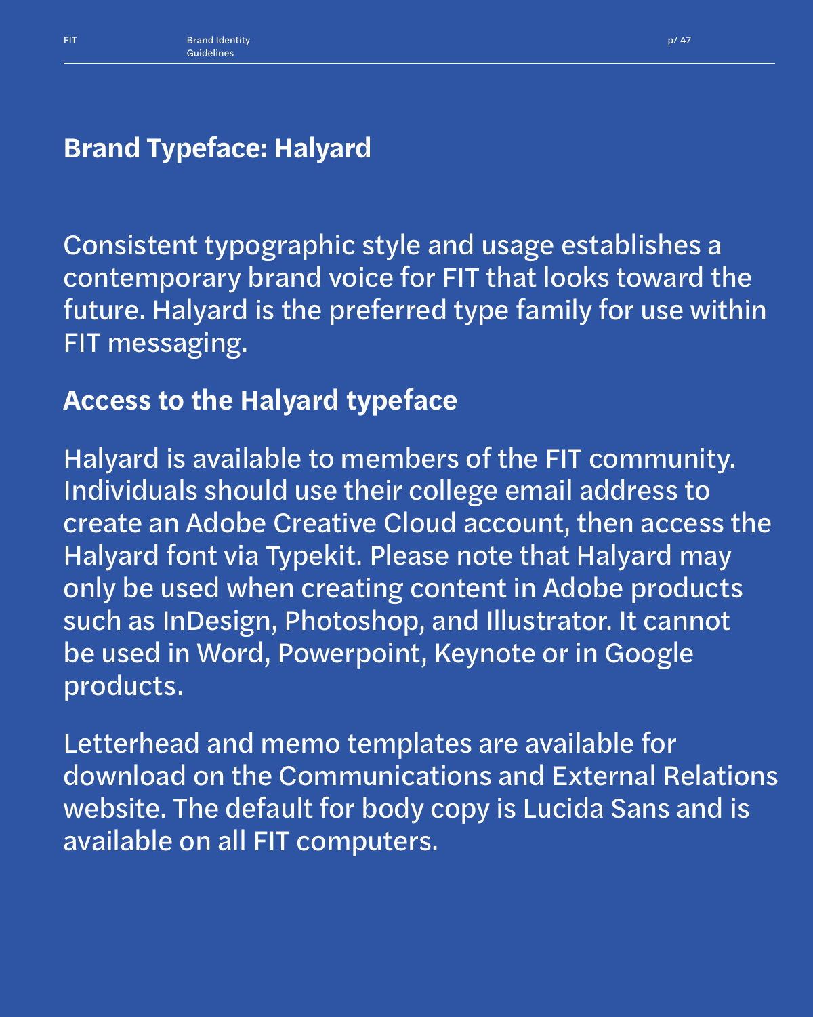### **Brand Typeface: Halyard**

Consistent typographic style and usage establishes a contemporary brand voice for FIT that looks toward the future. Halyard is the preferred type family for use within FIT messaging.

### **Access to the Halyard typeface**

Halyard is available to members of the FIT community. Individuals should use their college email address to create an Adobe Creative Cloud account, then access the Halyard font via Typekit. Please note that Halyard may only be used when creating content in Adobe products such as InDesign, Photoshop, and Illustrator. It cannot be used in Word, Powerpoint, Keynote or in Google products.

Letterhead and memo templates are available for download on the Communications and External Relations website. The default for body copy is Lucida Sans and is available on all FIT computers.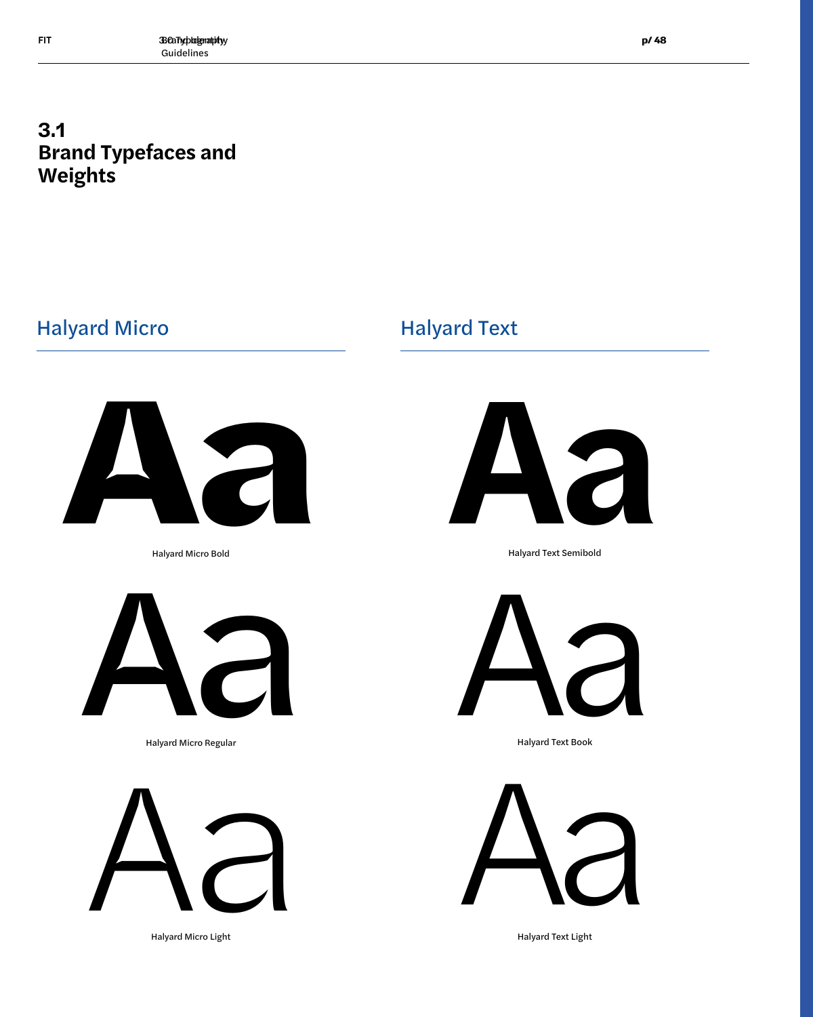### Halyard Micro **Halyard Text**



Halyard Micro Bold



Halyard Micro Regular



Halyard Micro Light



Halyard Text Semibold



Halyard Text Book



Halyard Text Light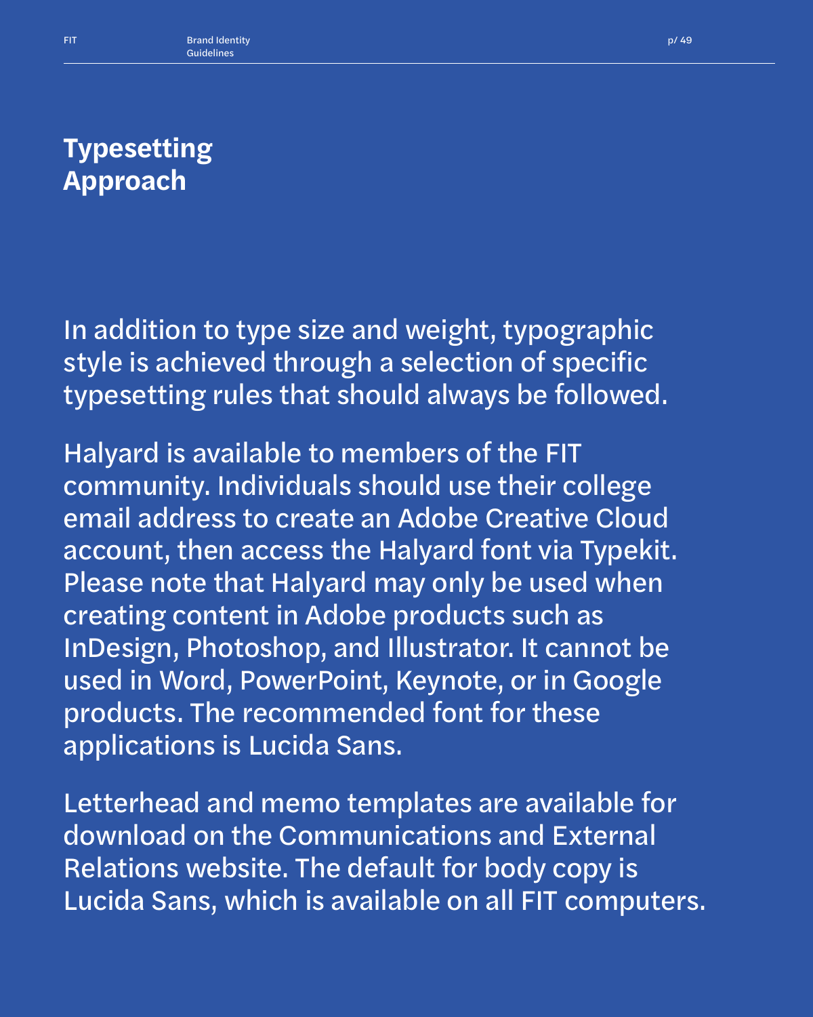### **Typesetting Approach**

In addition to type size and weight, typographic style is achieved through a selection of specific typesetting rules that should always be followed.

Halyard is available to members of the FIT community. Individuals should use their college email address to create an Adobe Creative Cloud account, then access the Halyard font via Typekit. Please note that Halyard may only be used when creating content in Adobe products such as InDesign, Photoshop, and Illustrator. It cannot be used in Word, PowerPoint, Keynote, or in Google products. The recommended font for these applications is Lucida Sans.

Letterhead and memo templates are available for download on the Communications and External Relations website. The default for body copy is Lucida Sans, which is available on all FIT computers.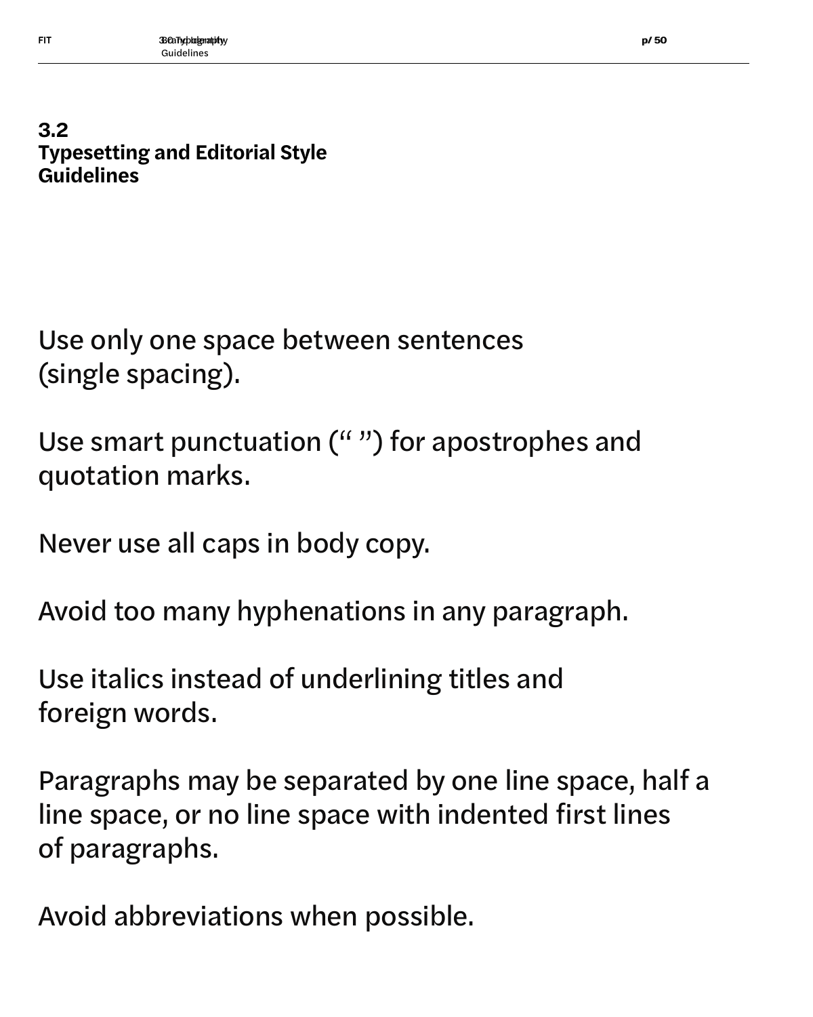### **3.2 Typesetting and Editorial Style Guidelines**

Use only one space between sentences (single spacing).

Use smart punctuation (" ") for apostrophes and quotation marks.

Never use all caps in body copy.

Avoid too many hyphenations in any paragraph.

Use italics instead of underlining titles and foreign words.

Paragraphs may be separated by one line space, half a line space, or no line space with indented first lines of paragraphs.

Avoid abbreviations when possible.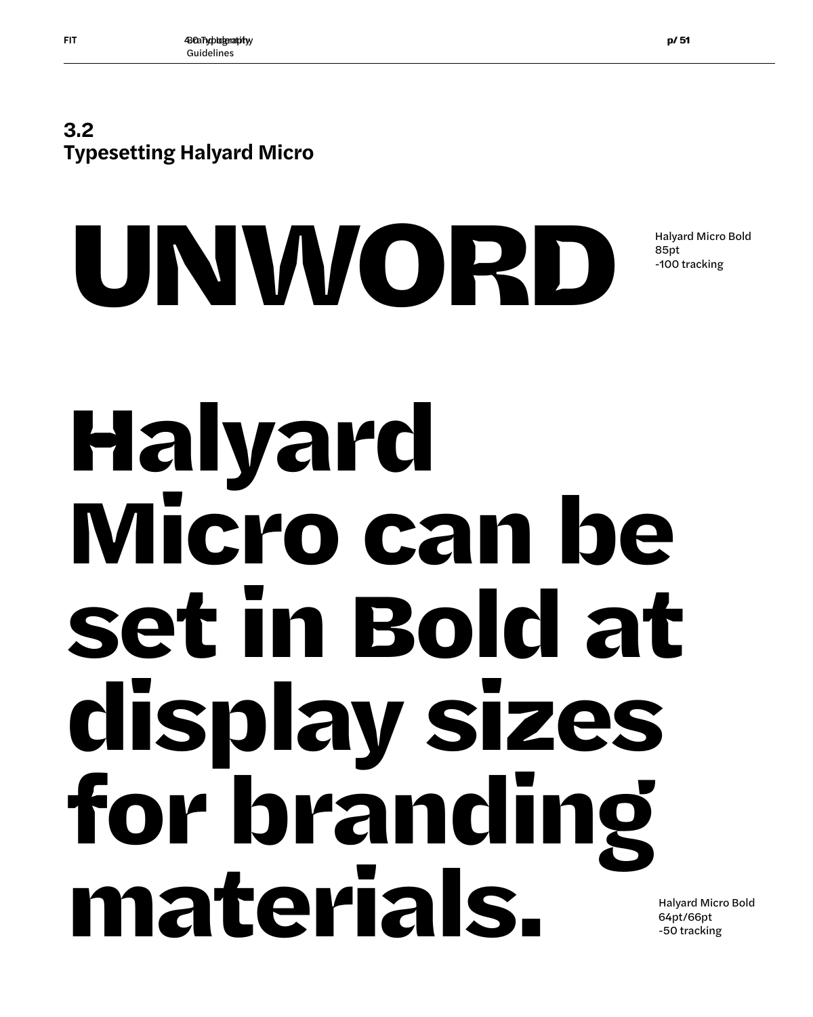

# **Halyard Micro can be set in Bold at display sizes for branding materials.**

**UNWORD**

Halyard Micro Bold 64pt/66pt -50 tracking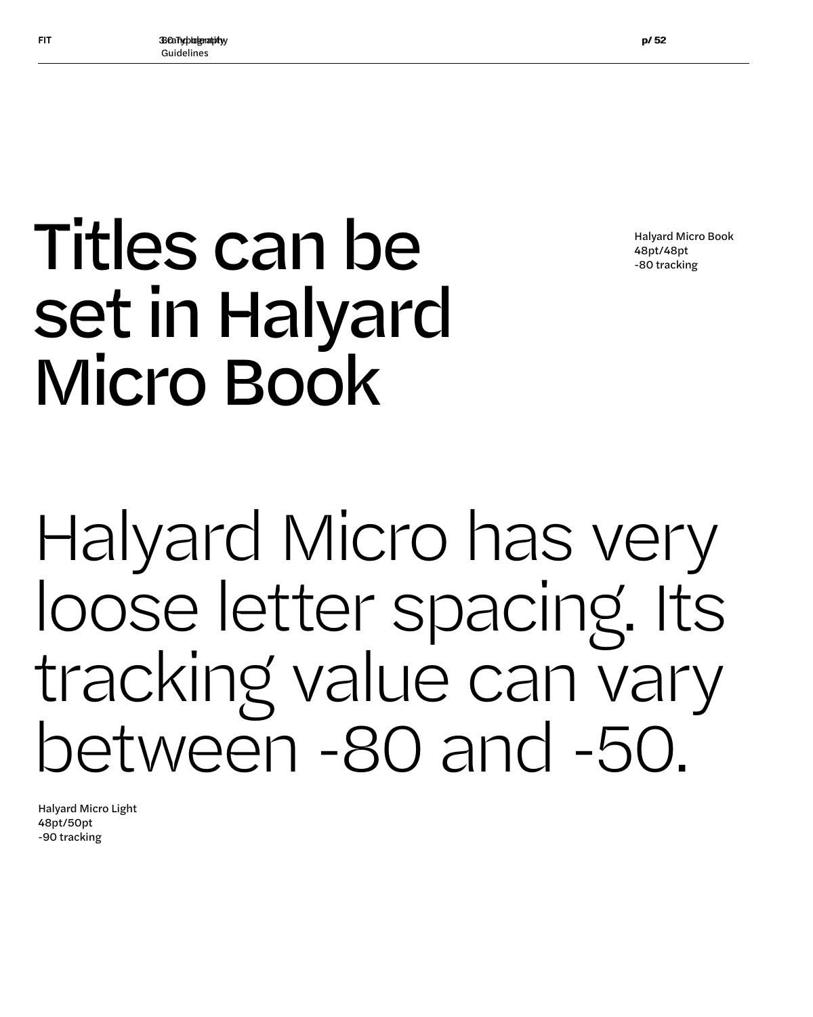Halyard Micro Book 48pt/48pt -80 tracking

## Titles can be set in Halyard Micro Book

Halyard Micro has very loose letter spacing. Its tracking value can vary between -80 and -50.

Halyard Micro Light 48pt/50pt -90 tracking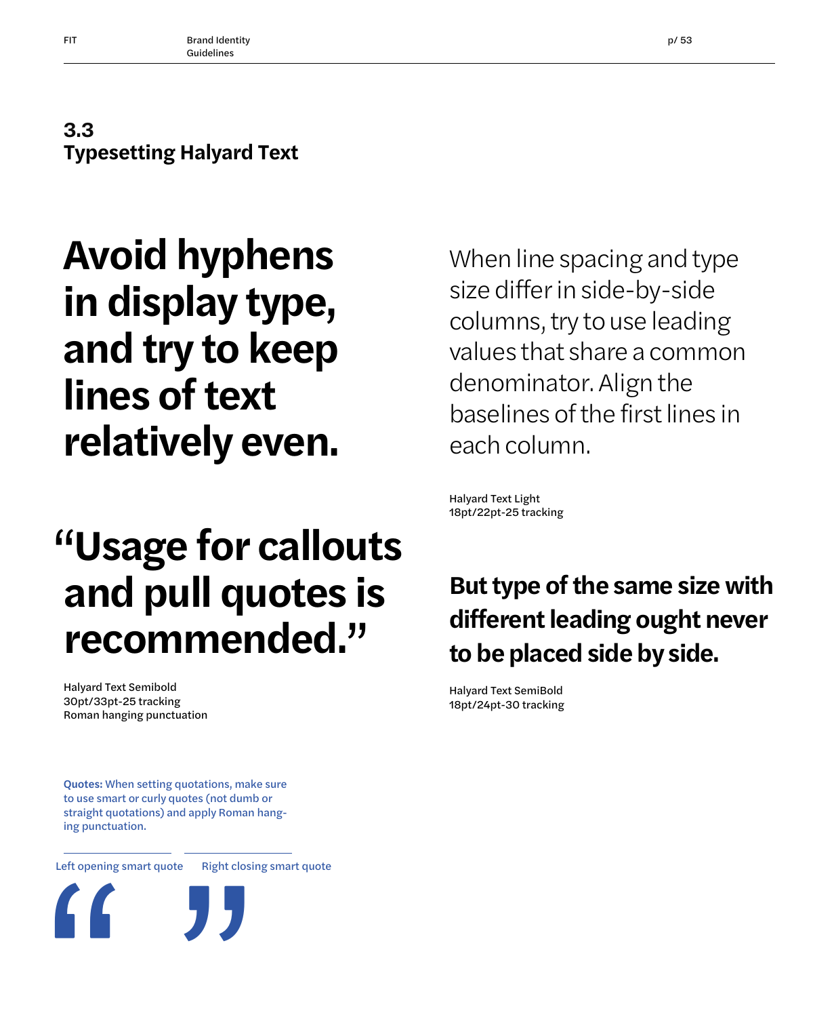### **3.3 Typesetting Halyard Text**

### **Avoid hyphens in display type, and try to keep lines of text relatively even.**

## **"Usage for callouts and pull quotes is recommended."**

Halyard Text Semibold 30pt/33pt-25 tracking Roman hanging punctuation

Quotes: When setting quotations, make sure to use smart or curly quotes (not dumb or straight quotations) and apply Roman hanging punctuation.

Left opening smart quote Right closing smart quote



### *When line spacing and type size differ in side-by-side columns, try to use leading values that share a common denominator. Align the baselines of the first lines in each column.*

Halyard Text Light 18pt/22pt-25 tracking

### **But type of the same size with different leading ought never to be placed side by side.**

Halyard Text SemiBold 18pt/24pt-30 tracking

**" "**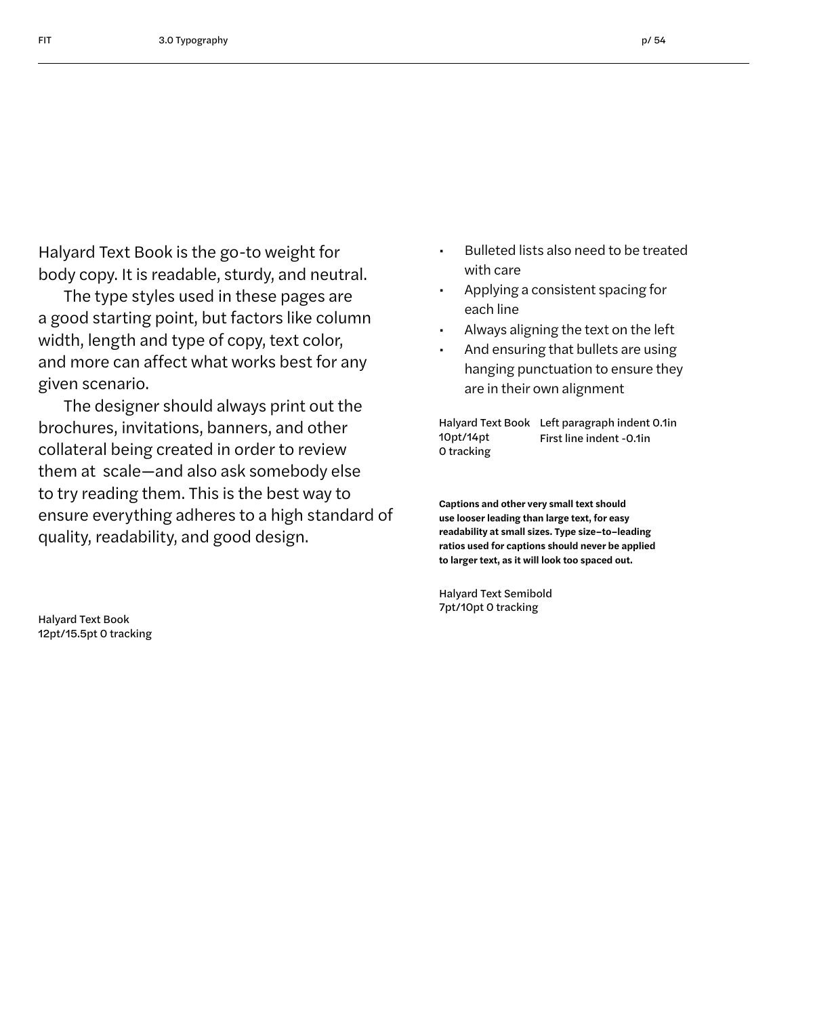Halyard Text Book is the go-to weight for body copy. It is readable, sturdy, and neutral.

The type styles used in these pages are a good starting point, but factors like column width, length and type of copy, text color, and more can affect what works best for any given scenario.

The designer should always print out the brochures, invitations, banners, and other collateral being created in order to review them at scale—and also ask somebody else to try reading them. This is the best way to ensure everything adheres to a high standard of quality, readability, and good design.

• Bulleted lists also need to be treated with care

- Applying a consistent spacing for each line
- Always aligning the text on the left
- And ensuring that bullets are using hanging punctuation to ensure they are in their own alignment

Halyard Text Book Left paragraph indent 0.1in 10pt/14pt 0 tracking First line indent -0.1in

**Captions and other very small text should use looser leading than large text, for easy readability at small sizes. Type size–to–leading ratios used for captions should never be applied to larger text, as it will look too spaced out.**

Halyard Text Semibold 7pt/10pt 0 tracking

Halyard Text Book 12pt/15.5pt 0 tracking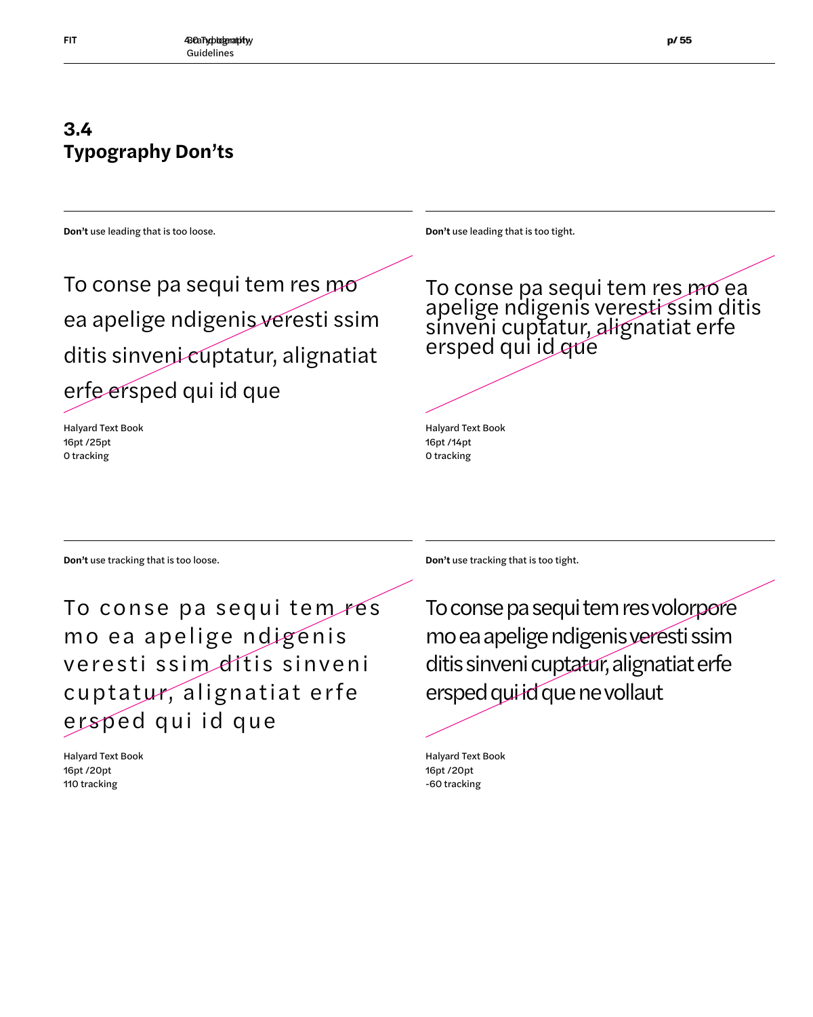### **3.4 Typography Don'ts**

**Don't** use leading that is too loose.

**Don't** use leading that is too tight.

To conse pa sequi tem res mo ea apelige ndigenis veresti ssim ditis sinveni cuptatur, alignatiat erfe ersped qui id que

Halyard Text Book 16pt /25pt 0 tracking

To conse pa sequi tem res mo ea apelige ndigenis veresti ssim ditis sinveni cuptatur, alignatiat erfe ersped qui id que

Halyard Text Book 16pt /14pt 0 tracking

**Don't** use tracking that is too loose. **Don't** use tracking that is too tight.

To conse pa sequi tem res mo ea apelige ndigenis veresti ssim dítis sinveni cuptatur, alignatiat erfe ersped qui id que

Halyard Text Book 16pt /20pt 110 tracking

To conse pa sequi tem res volorpore mo ea apelige ndigenis veresti ssim ditis sinveni cuptatur, alignatiat erfe ersped qui id que ne vollaut

Halyard Text Book 16pt /20pt -60 tracking